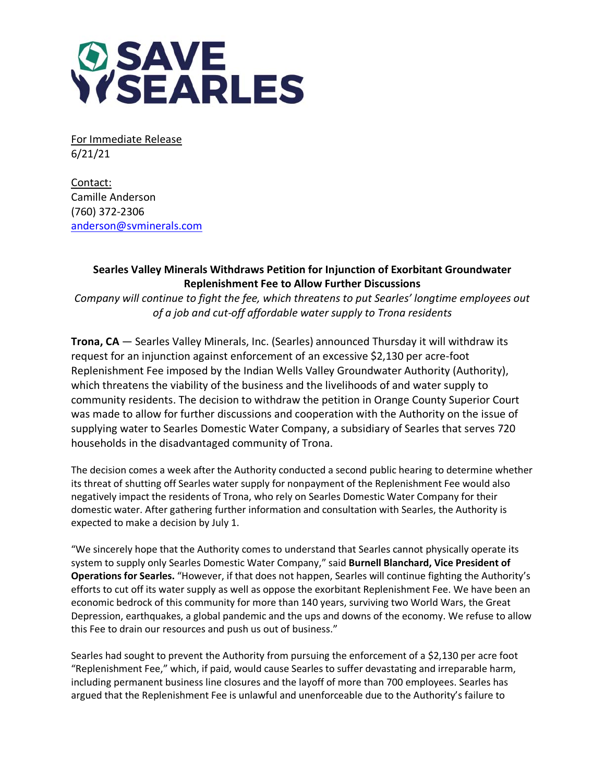

For Immediate Release 6/21/21

Contact: Camille Anderson (760) 372-2306 [anderson@svminerals.com](mailto:anderson@svminerals.com)

## **Searles Valley Minerals Withdraws Petition for Injunction of Exorbitant Groundwater Replenishment Fee to Allow Further Discussions**

*Company will continue to fight the fee, which threatens to put Searles' longtime employees out of a job and cut-off affordable water supply to Trona residents*

**Trona, CA** — Searles Valley Minerals, Inc. (Searles) announced Thursday it will withdraw its request for an injunction against enforcement of an excessive \$2,130 per acre-foot Replenishment Fee imposed by the Indian Wells Valley Groundwater Authority (Authority), which threatens the viability of the business and the livelihoods of and water supply to community residents. The decision to withdraw the petition in Orange County Superior Court was made to allow for further discussions and cooperation with the Authority on the issue of supplying water to Searles Domestic Water Company, a subsidiary of Searles that serves 720 households in the disadvantaged community of Trona.

The decision comes a week after the Authority conducted a second public hearing to determine whether its threat of shutting off Searles water supply for nonpayment of the Replenishment Fee would also negatively impact the residents of Trona, who rely on Searles Domestic Water Company for their domestic water. After gathering further information and consultation with Searles, the Authority is expected to make a decision by July 1.

"We sincerely hope that the Authority comes to understand that Searles cannot physically operate its system to supply only Searles Domestic Water Company," said **Burnell Blanchard, Vice President of Operations for Searles.** "However, if that does not happen, Searles will continue fighting the Authority's efforts to cut off its water supply as well as oppose the exorbitant Replenishment Fee. We have been an economic bedrock of this community for more than 140 years, surviving two World Wars, the Great Depression, earthquakes, a global pandemic and the ups and downs of the economy. We refuse to allow this Fee to drain our resources and push us out of business."

Searles had sought to prevent the Authority from pursuing the enforcement of a \$2,130 per acre foot "Replenishment Fee," which, if paid, would cause Searles to suffer devastating and irreparable harm, including permanent business line closures and the layoff of more than 700 employees. Searles has argued that the Replenishment Fee is unlawful and unenforceable due to the Authority's failure to